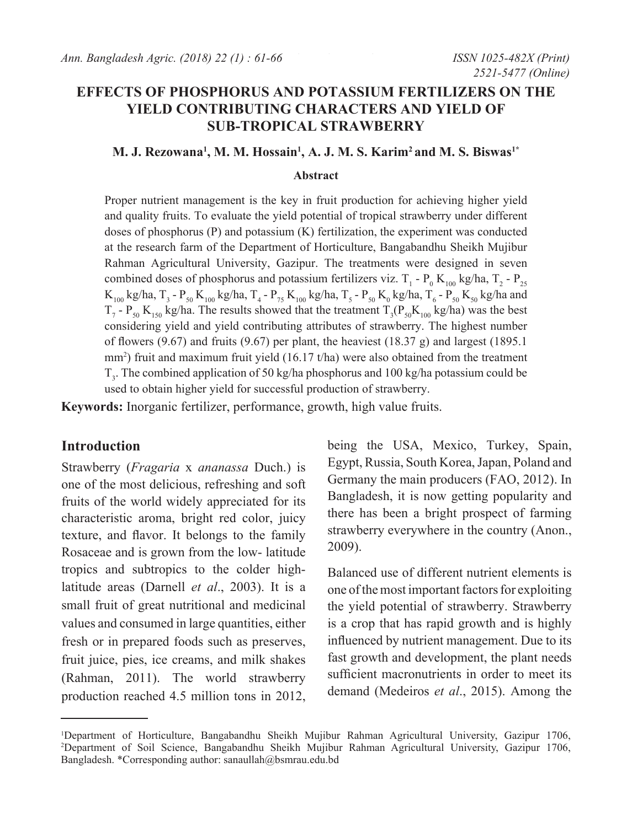# **EFFECTS OF PHOSPHORUS AND POTASSIUM FERTILIZERS ON THE YIELD CONTRIBUTING CHARACTERS AND YIELD OF SUB-TROPICAL STRAWBERRY**

### **M. J. Rezowana1 , M. M. Hossain1 , A. J. M. S. Karim2 and M. S. Biswas1\***

#### **Abstract**

Proper nutrient management is the key in fruit production for achieving higher yield and quality fruits. To evaluate the yield potential of tropical strawberry under different doses of phosphorus (P) and potassium (K) fertilization, the experiment was conducted at the research farm of the Department of Horticulture, Bangabandhu Sheikh Mujibur Rahman Agricultural University, Gazipur. The treatments were designed in seven combined doses of phosphorus and potassium fertilizers viz. T<sub>1</sub> - P<sub>0</sub> K<sub>100</sub> kg/ha, T<sub>2</sub> - P<sub>25</sub>  $K_{100}$  kg/ha, T<sub>3</sub> - P<sub>50</sub> K<sub>100</sub> kg/ha, T<sub>4</sub> - P<sub>75</sub> K<sub>100</sub> kg/ha, T<sub>5</sub> - P<sub>50</sub> K<sub>0</sub> kg/ha, T<sub>6</sub> - P<sub>50</sub> K<sub>50</sub> kg/ha and  $T_7$  -  $P_{50}$  K<sub>150</sub> kg/ha. The results showed that the treatment  $T_3(P_{50}K_{100}$  kg/ha) was the best considering yield and yield contributing attributes of strawberry. The highest number of flowers (9.67) and fruits (9.67) per plant, the heaviest (18.37 g) and largest (1895.1 mm2 ) fruit and maximum fruit yield (16.17 t/ha) were also obtained from the treatment  $T_3$ . The combined application of 50 kg/ha phosphorus and 100 kg/ha potassium could be used to obtain higher yield for successful production of strawberry.

**Keywords:** Inorganic fertilizer, performance, growth, high value fruits.

### **Introduction**

Strawberry (*Fragaria* x *ananassa* Duch.) is one of the most delicious, refreshing and soft fruits of the world widely appreciated for its characteristic aroma, bright red color, juicy texture, and flavor. It belongs to the family Rosaceae and is grown from the low- latitude tropics and subtropics to the colder highlatitude areas (Darnell *et al*., 2003). It is a small fruit of great nutritional and medicinal values and consumed in large quantities, either fresh or in prepared foods such as preserves, fruit juice, pies, ice creams, and milk shakes (Rahman, 2011). The world strawberry production reached 4.5 million tons in 2012, being the USA, Mexico, Turkey, Spain, Egypt, Russia, South Korea, Japan, Poland and Germany the main producers (FAO, 2012). In Bangladesh, it is now getting popularity and there has been a bright prospect of farming strawberry everywhere in the country (Anon., 2009).

Balanced use of different nutrient elements is one of the most important factors for exploiting the yield potential of strawberry. Strawberry is a crop that has rapid growth and is highly influenced by nutrient management. Due to its fast growth and development, the plant needs sufficient macronutrients in order to meet its demand (Medeiros *et al*., 2015). Among the

<sup>1</sup> Department of Horticulture, Bangabandhu Sheikh Mujibur Rahman Agricultural University, Gazipur 1706, 2 Department of Soil Science, Bangabandhu Sheikh Mujibur Rahman Agricultural University, Gazipur 1706, Bangladesh. \*Corresponding author: sanaullah@bsmrau.edu.bd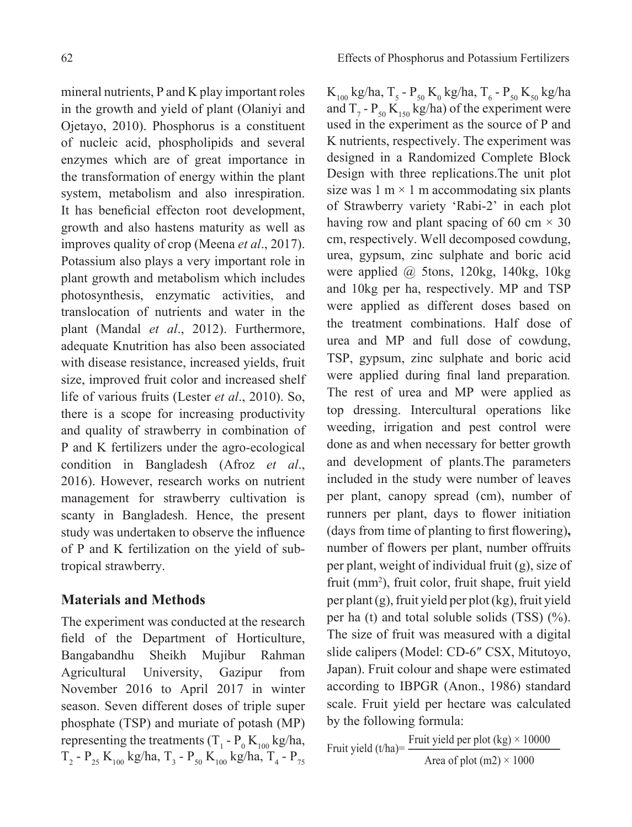mineral nutrients, P and K play important roles in the growth and yield of plant (Olaniyi and Ojetayo, 2010). Phosphorus is a constituent of nucleic acid, phospholipids and several enzymes which are of great importance in the transformation of energy within the plant system, metabolism and also inrespiration. It has beneficial effecton root development, growth and also hastens maturity as well as improves quality of crop (Meena *et al*., 2017). Potassium also plays a very important role in plant growth and metabolism which includes photosynthesis, enzymatic activities, and translocation of nutrients and water in the plant (Mandal *et al*., 2012). Furthermore, adequate Knutrition has also been associated with disease resistance, increased yields, fruit size, improved fruit color and increased shelf life of various fruits (Lester *et al*., 2010). So, there is a scope for increasing productivity and quality of strawberry in combination of P and K fertilizers under the agro-ecological condition in Bangladesh (Afroz *et al*., 2016). However, research works on nutrient management for strawberry cultivation is scanty in Bangladesh. Hence, the present study was undertaken to observe the influence of P and K fertilization on the yield of subtropical strawberry.

## **Materials and Methods**

The experiment was conducted at the research field of the Department of Horticulture, Bangabandhu Sheikh Mujibur Rahman Agricultural University, Gazipur from November 2016 to April 2017 in winter season. Seven different doses of triple super phosphate (TSP) and muriate of potash (MP) representing the treatments (T<sub>1</sub> -  $P_0 K_{100}$  kg/ha, T<sub>2</sub> - P<sub>25</sub> K<sub>100</sub> kg/ha, T<sub>3</sub> - P<sub>50</sub> K<sub>100</sub> kg/ha, T<sub>4</sub> - P<sub>75</sub>

K<sub>100</sub> kg/ha, T<sub>5</sub> - P<sub>50</sub> K<sub>0</sub> kg/ha, T<sub>6</sub> - P<sub>50</sub> K<sub>50</sub> kg/ha and  $T_7$  -  $P_{50}$  K<sub>150</sub> kg/ha) of the experiment were used in the experiment as the source of P and K nutrients, respectively. The experiment was designed in a Randomized Complete Block Design with three replications.The unit plot size was  $1 \text{ m} \times 1 \text{ m}$  accommodating six plants of Strawberry variety 'Rabi-2' in each plot having row and plant spacing of 60 cm  $\times$  30 cm, respectively. Well decomposed cowdung, urea, gypsum, zinc sulphate and boric acid were applied @ 5tons, 120kg, 140kg, 10kg and 10kg per ha, respectively. MP and TSP were applied as different doses based on the treatment combinations. Half dose of urea and MP and full dose of cowdung, TSP, gypsum, zinc sulphate and boric acid were applied during final land preparation*.*  The rest of urea and MP were applied as top dressing. Intercultural operations like weeding, irrigation and pest control were done as and when necessary for better growth and development of plants.The parameters included in the study were number of leaves per plant, canopy spread (cm), number of runners per plant, days to flower initiation (days from time of planting to first flowering)**,**  number of flowers per plant, number offruits per plant, weight of individual fruit (g), size of fruit (mm2 ), fruit color, fruit shape, fruit yield per plant (g), fruit yield per plot (kg), fruit yield per ha (t) and total soluble solids  $(TSS)$  (%). The size of fruit was measured with a digital slide calipers (Model: CD-6″ CSX, Mitutoyo, Japan). Fruit colour and shape were estimated according to IBPGR (Anon., 1986) standard scale. Fruit yield per hectare was calculated by the following formula:

Fruit yield  $(t/ha)$ = Fruit yield per plot  $(kg) \times 10000$ Area of plot  $(m2) \times 1000$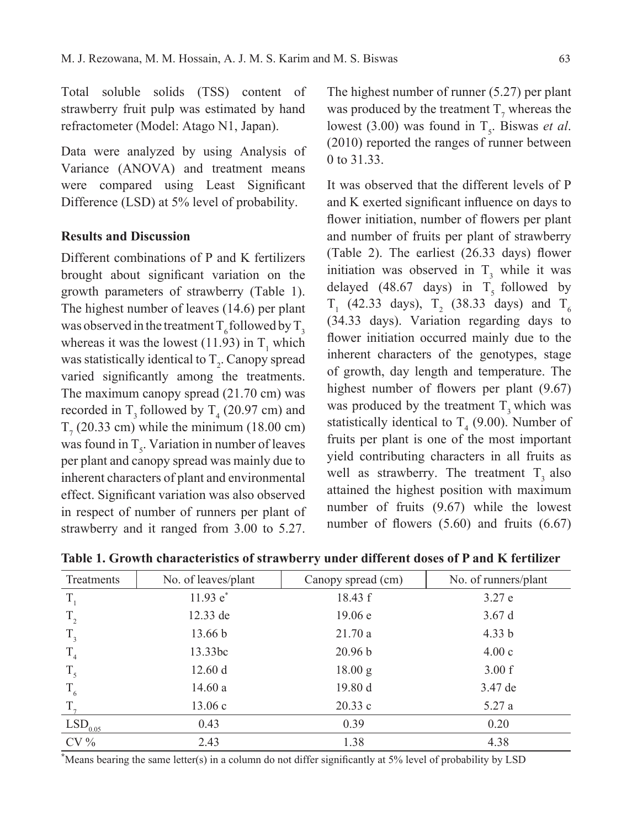Total soluble solids (TSS) content of strawberry fruit pulp was estimated by hand refractometer (Model: Atago N1, Japan).

Data were analyzed by using Analysis of Variance (ANOVA) and treatment means were compared using Least Significant Difference (LSD) at 5% level of probability.

### **Results and Discussion**

Different combinations of P and K fertilizers brought about significant variation on the growth parameters of strawberry (Table 1). The highest number of leaves (14.6) per plant was observed in the treatment  $T_6$  followed by  $T_3$ whereas it was the lowest (11.93) in  $T_1$  which was statistically identical to  $T_2$ . Canopy spread varied significantly among the treatments. The maximum canopy spread (21.70 cm) was recorded in  $T_3$  followed by  $T_4$  (20.97 cm) and  $T_7$  (20.33 cm) while the minimum (18.00 cm) was found in  $T_s$ . Variation in number of leaves per plant and canopy spread was mainly due to inherent characters of plant and environmental effect. Significant variation was also observed in respect of number of runners per plant of strawberry and it ranged from 3.00 to 5.27.

The highest number of runner (5.27) per plant was produced by the treatment  $T_7$  whereas the lowest (3.00) was found in  $T_s$ . Biswas *et al.* (2010) reported the ranges of runner between 0 to 31.33

It was observed that the different levels of P and K exerted significant influence on days to flower initiation, number of flowers per plant and number of fruits per plant of strawberry (Table 2). The earliest (26.33 days) flower initiation was observed in  $T_3$  while it was delayed (48.67 days) in  $\overline{T_s}$  followed by  $T_1$  (42.33 days),  $T_2$  (38.33 days) and  $T_6$ (34.33 days). Variation regarding days to flower initiation occurred mainly due to the inherent characters of the genotypes, stage of growth, day length and temperature. The highest number of flowers per plant  $(9.67)$ was produced by the treatment  $T_3$  which was statistically identical to  $T_4$  (9.00). Number of fruits per plant is one of the most important yield contributing characters in all fruits as well as strawberry. The treatment  $T<sub>2</sub>$  also attained the highest position with maximum number of fruits (9.67) while the lowest number of flowers (5.60) and fruits (6.67)

| Treatments            | No. of leaves/plant | Canopy spread (cm) | No. of runners/plant |
|-----------------------|---------------------|--------------------|----------------------|
| $T_{1}$               | $11.93 e^*$         | 18.43 f            | 3.27 e               |
| $T_{2}$               | $12.33$ de          | 19.06 e            | 3.67d                |
| $T_{3}$               | 13.66 b             | 21.70a             | 4.33 b               |
| T <sub>4</sub>        | 13.33bc             | 20.96 b            | 4.00c                |
| $T_{5}$               | 12.60 d             | 18.00 g            | 3.00 f               |
| $T_{6}$               | 14.60a              | 19.80 d            | 3.47 de              |
| $T_{\tau}$            | 13.06c              | 20.33c             | 5.27a                |
| $LSD$ <sub>0.05</sub> | 0.43                | 0.39               | 0.20                 |
| $CV\%$                | 2.43                | 1.38               | 4.38                 |

**Table 1. Growth characteristics of strawberry under different doses of P and K fertilizer**

**\*** Means bearing the same letter(s) in a column do not differ significantly at 5% level of probability by LSD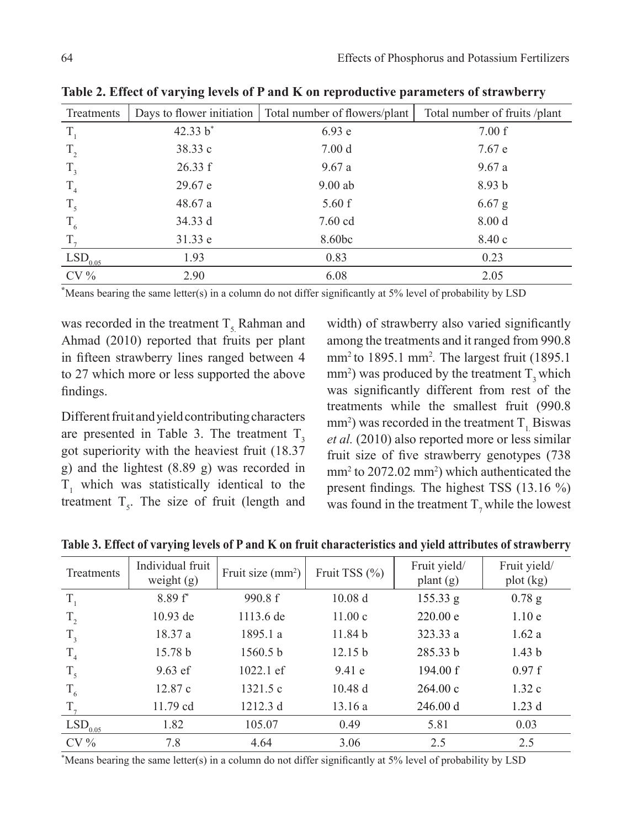| Treatments            | Days to flower initiation | Total number of flowers/plant | Total number of fruits /plant |
|-----------------------|---------------------------|-------------------------------|-------------------------------|
| $T_{1}$               | 42.33 b*                  | 6.93e                         | 7.00 f                        |
| $T_{2}$               | 38.33 c                   | 7.00 <sub>d</sub>             | 7.67 e                        |
| $T_{3}$               | 26.33 f                   | 9.67a                         | 9.67a                         |
| T <sub>4</sub>        | 29.67 e                   | $9.00$ ab                     | 8.93 <sub>b</sub>             |
| $T_{5}$               | 48.67a                    | 5.60 f                        | $6.67$ g                      |
| $T_{6}$               | 34.33 d                   | $7.60$ cd                     | 8.00 <sub>d</sub>             |
| $T_{\tau}$            | 31.33 e                   | 8.60bc                        | 8.40c                         |
| $LSD$ <sub>0.05</sub> | 1.93                      | 0.83                          | 0.23                          |
| $CV\%$                | 2.90                      | 6.08                          | 2.05                          |

**Table 2. Effect of varying levels of P and K on reproductive parameters of strawberry**

**\*** Means bearing the same letter(s) in a column do not differ significantly at 5% level of probability by LSD

was recorded in the treatment  $T<sub>5</sub>$  Rahman and Ahmad (2010) reported that fruits per plant in fifteen strawberry lines ranged between 4 to 27 which more or less supported the above findings.

Different fruit and yield contributing characters are presented in Table 3. The treatment  $T<sub>2</sub>$ got superiority with the heaviest fruit (18.37 g) and the lightest (8.89 g) was recorded in  $T_1$  which was statistically identical to the treatment  $T_s$ . The size of fruit (length and

width) of strawberry also varied significantly among the treatments and it ranged from 990.8 mm2 to 1895.1 mm<sup>2</sup> *.* The largest fruit (1895.1 mm<sup>2</sup>) was produced by the treatment  $T_3$  which was significantly different from rest of the treatments while the smallest fruit (990.8 mm<sup>2</sup>) was recorded in the treatment T<sub>1</sub> Biswas *et al.* (2010) also reported more or less similar fruit size of five strawberry genotypes (738 mm<sup>2</sup> to 2072.02 mm<sup>2</sup>) which authenticated the present findings*.* The highest TSS (13.16 %) was found in the treatment  $T_7$  while the lowest

 $\frac{1}{\sqrt{2}}$ 

| Treatments     | Individual fruit<br>Fruit size $(mm^2)$ |             | Fruit TSS $(\% )$  | Fruit yield/ | Fruit yield/      |
|----------------|-----------------------------------------|-------------|--------------------|--------------|-------------------|
|                | weight $(g)$                            |             |                    | plant $(g)$  | plot (kg)         |
| $T_{\rm s}$    | $8.89 f^*$                              | 990.8 f     | 10.08 <sub>d</sub> | 155.33 g     | $0.78$ g          |
| $T_{2}$        | $10.93$ de                              | 1113.6 de   | 11.00c             | 220.00 e     | 1.10e             |
| $T_{3}$        | 18.37 a                                 | 1895.1 a    | 11.84 <sub>b</sub> | 323.33a      | 1.62a             |
| T <sub>4</sub> | 15.78 b                                 | 1560.5 b    | 12.15 b            | 285.33 b     | 1.43 <sub>b</sub> |
| $T_{5}$        | $9.63$ ef                               | $1022.1$ ef | 9.41e              | 194.00 f     | 0.97 f            |
| $T_{6}$        | 12.87c                                  | 1321.5c     | 10.48d             | 264.00c      | 1.32c             |
| $T_{7}$        | 11.79 cd                                | 1212.3 d    | 13.16a             | 246.00 d     | 1.23d             |
| $LSD_{0.05}$   | 1.82                                    | 105.07      | 0.49               | 5.81         | 0.03              |
| $CV\%$         | 7.8                                     | 4.64        | 3.06               | 2.5          | 2.5               |

**Table 3. Effect of varying levels of P and K on fruit characteristics and yield attributes of strawberry**

\* Means bearing the same letter(s) in a column do not differ significantly at 5% level of probability by LSD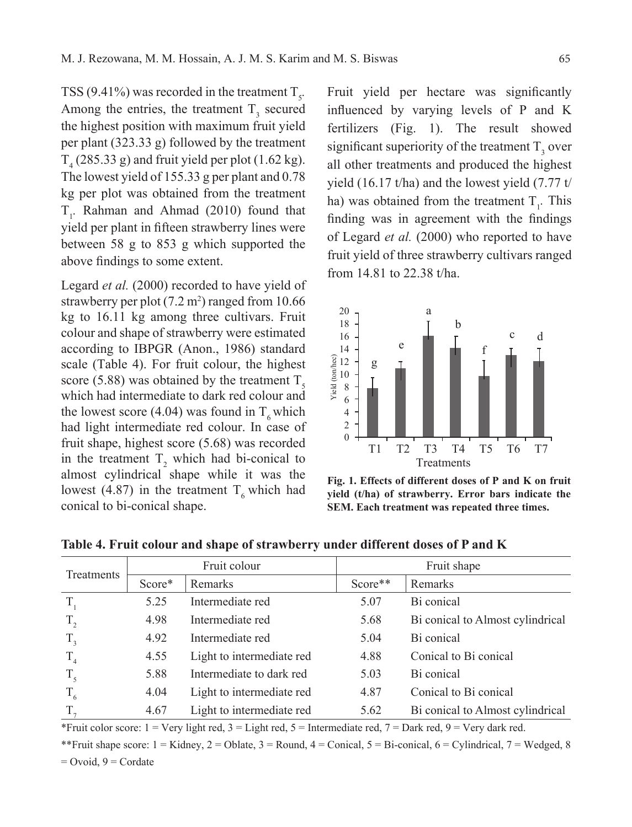TSS (9.41%) was recorded in the treatment  $T_s$ . Among the entries, the treatment  $T<sub>3</sub>$  secured the highest position with maximum fruit yield per plant (323.33 g) followed by the treatment  $T_4$  (285.33 g) and fruit yield per plot (1.62 kg). The lowest yield of 155.33 g per plant and 0.78 kg per plot was obtained from the treatment  $T<sub>1</sub>$ . Rahman and Ahmad (2010) found that yield per plant in fifteen strawberry lines were between 58 g to 853 g which supported the above findings to some extent.

Legard *et al.* (2000) recorded to have yield of strawberry per plot  $(7.2 \text{ m}^2)$  ranged from 10.66 kg to 16.11 kg among three cultivars. Fruit colour and shape of strawberry were estimated according to IBPGR (Anon., 1986) standard scale (Table 4). For fruit colour, the highest score (5.88) was obtained by the treatment  $T<sub>s</sub>$ which had intermediate to dark red colour and the lowest score (4.04) was found in  $T<sub>6</sub>$  which had light intermediate red colour. In case of fruit shape, highest score (5.68) was recorded in the treatment  $T_2$  which had bi-conical to almost cylindrical shape while it was the lowest (4.87) in the treatment  $T<sub>6</sub>$  which had conical to bi-conical shape.

Fruit yield per hectare was significantly influenced by varying levels of P and K fertilizers (Fig. 1). The result showed significant superiority of the treatment  $T_3$  over all other treatments and produced the highest yield (16.17 t/ha) and the lowest yield (7.77 t/ ha) was obtained from the treatment  $T_i$ . This finding was in agreement with the findings of Legard *et al.* (2000) who reported to have fruit yield of three strawberry cultivars ranged from 14.81 to 22.38 t/ha.



**Fig. 1. Effects of different doses of P and K on fruit yield (t/ha) of strawberry. Error bars indicate the SEM. Each treatment was repeated three times.**

| Treatments  | Fruit colour |                           | Fruit shape |                                  |
|-------------|--------------|---------------------------|-------------|----------------------------------|
|             | Score*       | Remarks                   | Score**     | Remarks                          |
| T,          | 5.25         | Intermediate red          | 5.07        | Bi conical                       |
| $T_{2}$     | 4.98         | Intermediate red          | 5.68        | Bi conical to Almost cylindrical |
| $T_{3}$     | 4.92         | Intermediate red          | 5.04        | Bi conical                       |
| $T_{4}$     | 4.55         | Light to intermediate red | 4.88        | Conical to Bi conical            |
| $T_{\rm s}$ | 5.88         | Intermediate to dark red  | 5.03        | Bi conical                       |
| $T_{6}$     | 4.04         | Light to intermediate red | 4.87        | Conical to Bi conical            |
| $T_{\tau}$  | 4.67         | Light to intermediate red | 5.62        | Bi conical to Almost cylindrical |

**Table 4. Fruit colour and shape of strawberry under different doses of P and K**

\*Fruit color score:  $1 = \text{Very light red}, 3 = \text{Light red}, 5 = \text{Intermediate red}, 7 = \text{Dark red}, 9 = \text{Very dark red}.$ 

\*\*Fruit shape score:  $1 =$ Kidney,  $2 =$ Oblate,  $3 =$ Round,  $4 =$ Conical,  $5 =$ Bi-conical,  $6 =$ Cylindrical,  $7 =$ Wedged, 8

 $=$  Ovoid,  $9 =$  Cordate